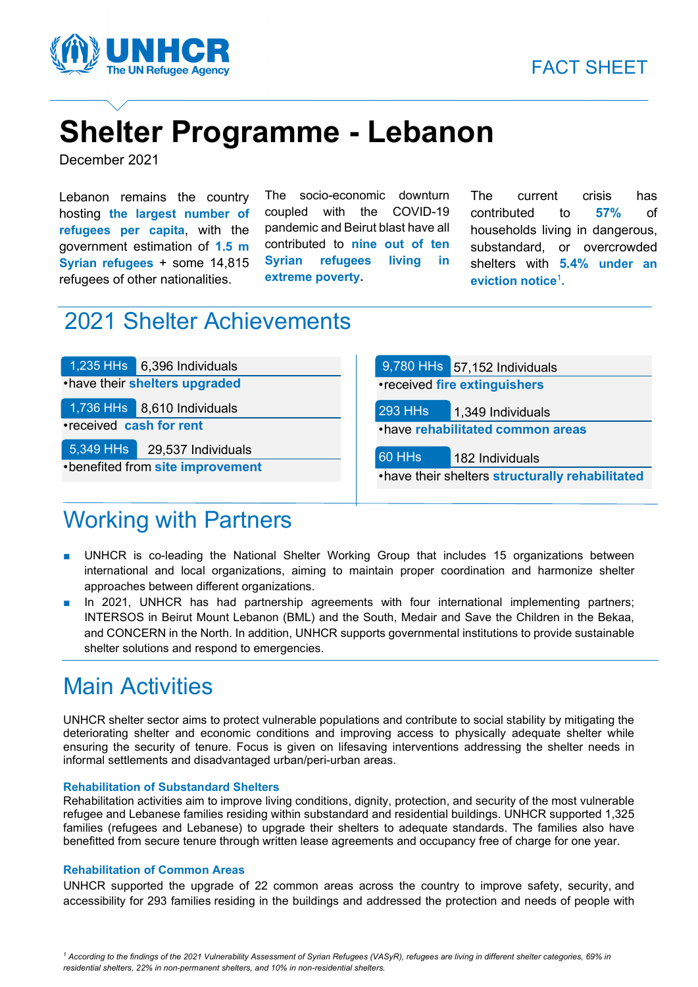

# **Shelter Programme - Lebanon**

December 2021

Lebanon remains the country hosting **the largest number of refugees per capita**, with the government estimation of **1.5 m Syrian refugees** + some 14,815 refugees of other nationalities.

The socio-economic downturn coupled with the COVID-19 pandemic and Beirut blast have all contributed to **nine out of ten Syrian refugees living in extreme poverty.**

The current crisis has contributed to **57%** of households living in dangerous, substandard, or overcrowded shelters with **5.4% under an eviction notice**<sup>1</sup> **.**

## 2021 Shelter Achievements

1,235 HHs 6,396 Individuals •have their **shelters upgraded**  1,736 HHs 8,610 Individuals •received **cash for rent** 5,349 HHs 29,537 Individuals

•benefited from **site improvement**

### 9,780 HHs 57,152 Individuals •received **fire extinguishers**  293 HHs 1,349 Individuals •have **rehabilitated common areas**  60 HHs 182 Individuals •have their shelters **structurally rehabilitated**

### Working with Partners

- UNHCR is co-leading the National Shelter Working Group that includes 15 organizations between international and local organizations, aiming to maintain proper coordination and harmonize shelter approaches between different organizations.
- In 2021, UNHCR has had partnership agreements with four international implementing partners; INTERSOS in Beirut Mount Lebanon (BML) and the South, Medair and Save the Children in the Bekaa, and CONCERN in the North. In addition, UNHCR supports governmental institutions to provide sustainable shelter solutions and respond to emergencies.

## Main Activities

UNHCR shelter sector aims to protect vulnerable populations and contribute to social stability by mitigating the deteriorating shelter and economic conditions and improving access to physically adequate shelter while ensuring the security of tenure. Focus is given on lifesaving interventions addressing the shelter needs in informal settlements and disadvantaged urban/peri-urban areas.

#### **Rehabilitation of Substandard Shelters**

Rehabilitation activities aim to improve living conditions, dignity, protection, and security of the most vulnerable refugee and Lebanese families residing within substandard and residential buildings. UNHCR supported 1,325 families (refugees and Lebanese) to upgrade their shelters to adequate standards. The families also have benefitted from secure tenure through written lease agreements and occupancy free of charge for one year.

#### **Rehabilitation of Common Areas**

UNHCR supported the upgrade of 22 common areas across the country to improve safety, security, and accessibility for 293 families residing in the buildings and addressed the protection and needs of people with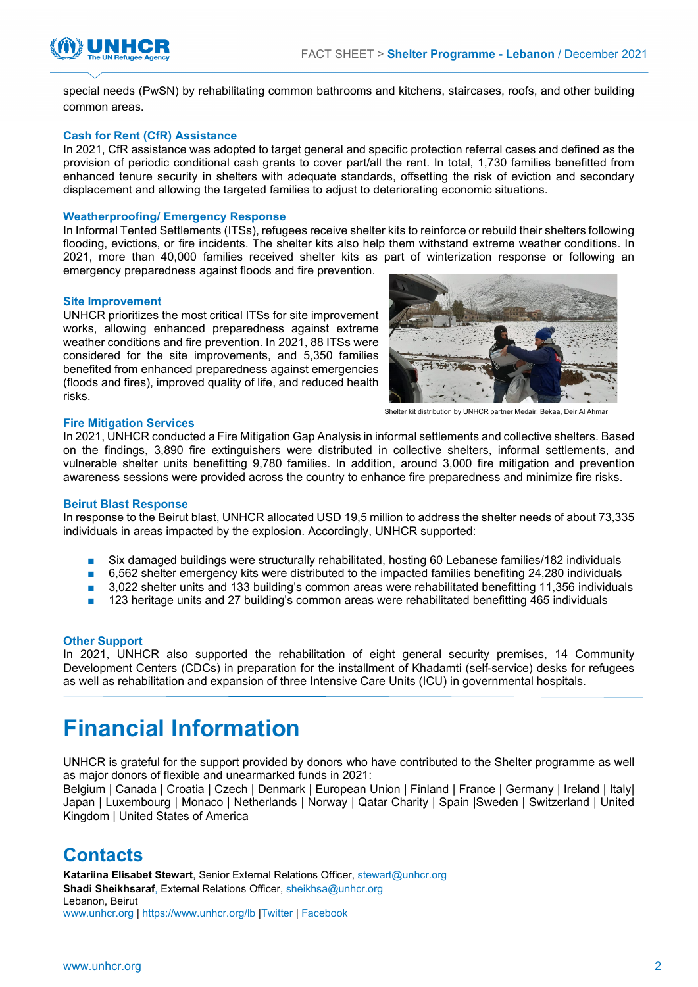



special needs (PwSN) by rehabilitating common bathrooms and kitchens, staircases, roofs, and other building common areas.

#### **Cash for Rent (CfR) Assistance**

In 2021, CfR assistance was adopted to target general and specific protection referral cases and defined as the provision of periodic conditional cash grants to cover part/all the rent. In total, 1,730 families benefitted from enhanced tenure security in shelters with adequate standards, offsetting the risk of eviction and secondary displacement and allowing the targeted families to adjust to deteriorating economic situations.

#### **Weatherproofing/ Emergency Response**

In Informal Tented Settlements (ITSs), refugees receive shelter kits to reinforce or rebuild their shelters following flooding, evictions, or fire incidents. The shelter kits also help them withstand extreme weather conditions. In 2021, more than 40,000 families received shelter kits as part of winterization response or following an emergency preparedness against floods and fire prevention.

#### **Site Improvement**

UNHCR prioritizes the most critical ITSs for site improvement works, allowing enhanced preparedness against extreme weather conditions and fire prevention. In 2021, 88 ITSs were considered for the site improvements, and 5,350 families benefited from enhanced preparedness against emergencies (floods and fires), improved quality of life, and reduced health risks.



Shelter kit distribution by UNHCR partner Medair, Bekaa, De

#### **Fire Mitigation Services**

In 2021, UNHCR conducted a Fire Mitigation Gap Analysis in informal settlements and collective shelters. Based on the findings, 3,890 fire extinguishers were distributed in collective shelters, informal settlements, and vulnerable shelter units benefitting 9,780 families. In addition, around 3,000 fire mitigation and prevention awareness sessions were provided across the country to enhance fire preparedness and minimize fire risks.

#### **Beirut Blast Response**

In response to the Beirut blast, UNHCR allocated USD 19,5 million to address the shelter needs of about 73,335 individuals in areas impacted by the explosion. Accordingly, UNHCR supported:

- Six damaged buildings were structurally rehabilitated, hosting 60 Lebanese families/182 individuals
- 6,562 shelter emergency kits were distributed to the impacted families benefiting 24,280 individuals
- 3,022 shelter units and 133 building's common areas were rehabilitated benefitting 11,356 individuals
- 123 heritage units and 27 building's common areas were rehabilitated benefitting 465 individuals

#### **Other Support**

In 2021, UNHCR also supported the rehabilitation of eight general security premises, 14 Community Development Centers (CDCs) in preparation for the installment of Khadamti (self-service) desks for refugees as well as rehabilitation and expansion of three Intensive Care Units (ICU) in governmental hospitals.

### **Financial Information**

UNHCR is grateful for the support provided by donors who have contributed to the Shelter programme as well as major donors of flexible and unearmarked funds in 2021:

Belgium | Canada | Croatia | Czech | Denmark | European Union | Finland | France | Germany | Ireland | Italy| Japan | Luxembourg | Monaco | Netherlands | Norway | Qatar Charity | Spain |Sweden | Switzerland | United Kingdom | United States of America

### **Contacts**

**Katariina Elisabet Stewart**, Senior External Relations Officer, [stewart@unhcr.org](mailto:stewart@unhcr.org) **Shadi Sheikhsaraf**, External Relations Officer, sheikhsa@unhcr.org Lebanon, Beirut [www.unhcr.org](http://www.unhcr.org/) | [https://www.unhcr.org/lb](https://eur02.safelinks.protection.outlook.com/?url=https%3A%2F%2Fwww.unhcr.org%2Flb%2F&data=04%7C01%7Csheikhsa%40unhcr.org%7C2cbbbb6dd1874b9b0d9e08d957d75ead%7Ce5c37981666441348a0c6543d2af80be%7C0%7C0%7C637637404786723689%7CUnknown%7CTWFpbGZsb3d8eyJWIjoiMC4wLjAwMDAiLCJQIjoiV2luMzIiLCJBTiI6Ik1haWwiLCJXVCI6Mn0%3D%7C1000&sdata=LXs3RPtyTQoSbY2EE6Z5ocKRPk24R9uWM2AtCAdSh1M%3D&reserved=0) [|Twitter](https://eur02.safelinks.protection.outlook.com/?url=https%3A%2F%2Ftwitter.com%2FUNHCRLebanon&data=04%7C01%7Csheikhsa%40unhcr.org%7C2cbbbb6dd1874b9b0d9e08d957d75ead%7Ce5c37981666441348a0c6543d2af80be%7C0%7C0%7C637637404786733647%7CUnknown%7CTWFpbGZsb3d8eyJWIjoiMC4wLjAwMDAiLCJQIjoiV2luMzIiLCJBTiI6Ik1haWwiLCJXVCI6Mn0%3D%7C1000&sdata=UTiGPHKW1MQjM%2B5czASUAOAEZ4Pk7MZYioLRrUyj33E%3D&reserved=0) | [Facebook](https://eur02.safelinks.protection.outlook.com/?url=https%3A%2F%2Fwww.facebook.com%2FUNHCRLebanon%2F&data=04%7C01%7Csheikhsa%40unhcr.org%7C2cbbbb6dd1874b9b0d9e08d957d75ead%7Ce5c37981666441348a0c6543d2af80be%7C0%7C0%7C637637404786733647%7CUnknown%7CTWFpbGZsb3d8eyJWIjoiMC4wLjAwMDAiLCJQIjoiV2luMzIiLCJBTiI6Ik1haWwiLCJXVCI6Mn0%3D%7C1000&sdata=gbiYSqOrC5HTu8q9VxvHI7uT3q%2FWOv94dURQgEAMuLM%3D&reserved=0)